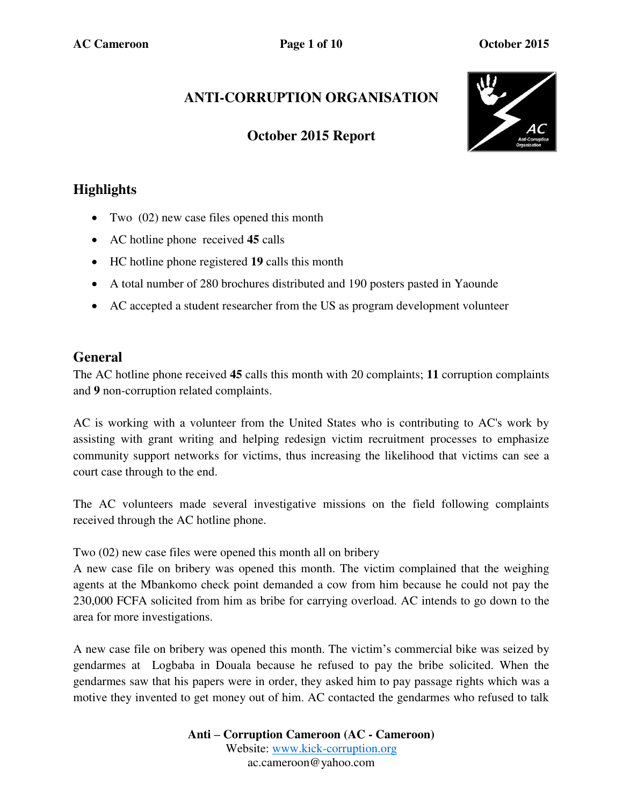# **ANTI-CORRUPTION ORGANISATION**

## **October 2015 Report**



## **Highlights**

- Two  $(02)$  new case files opened this month
- AC hotline phone received **45** calls
- HC hotline phone registered **19** calls this month
- A total number of 280 brochures distributed and 190 posters pasted in Yaounde
- AC accepted a student researcher from the US as program development volunteer

## **General**

The AC hotline phone received **45** calls this month with 20 complaints; **11** corruption complaints and **9** non-corruption related complaints.

AC is working with a volunteer from the United States who is contributing to AC's work by assisting with grant writing and helping redesign victim recruitment processes to emphasize community support networks for victims, thus increasing the likelihood that victims can see a court case through to the end.

The AC volunteers made several investigative missions on the field following complaints received through the AC hotline phone.

Two (02) new case files were opened this month all on bribery

A new case file on bribery was opened this month. The victim complained that the weighing agents at the Mbankomo check point demanded a cow from him because he could not pay the 230,000 FCFA solicited from him as bribe for carrying overload. AC intends to go down to the area for more investigations.

A new case file on bribery was opened this month. The victim's commercial bike was seized by gendarmes at Logbaba in Douala because he refused to pay the bribe solicited. When the gendarmes saw that his papers were in order, they asked him to pay passage rights which was a motive they invented to get money out of him. AC contacted the gendarmes who refused to talk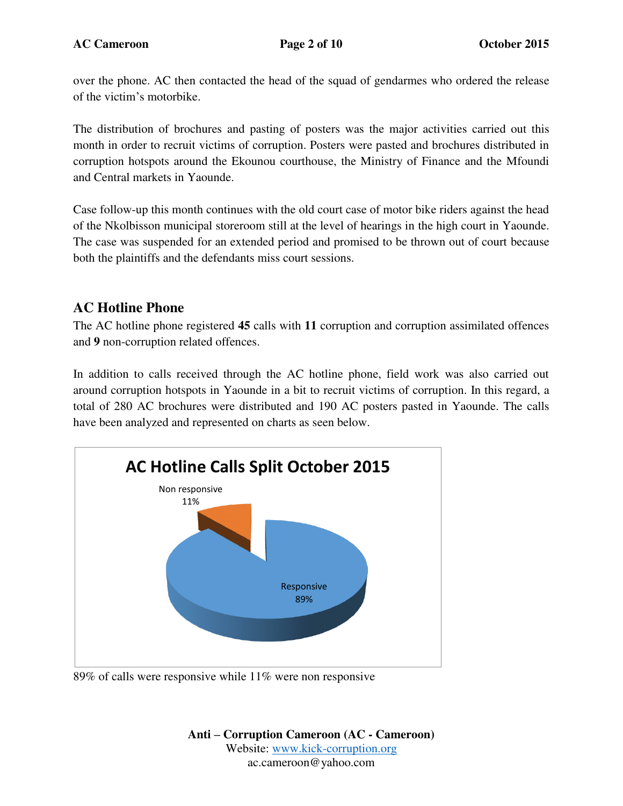over the phone. AC then contacted the head of the squad of gendarmes who ordered the release of the victim's motorbike.

The distribution of brochures and pasting of posters was the major activities carried out this month in order to recruit victims of corruption. Posters were pasted and brochures distributed in corruption hotspots around the Ekounou courthouse, the Ministry of Finance and the Mfoundi and Central markets in Yaounde.

Case follow-up this month continues with the old court case of motor bike riders against the head of the Nkolbisson municipal storeroom still at the level of hearings in the high court in Yaounde. The case was suspended for an extended period and promised to be thrown out of court because both the plaintiffs and the defendants miss court sessions.

#### **AC Hotline Phone**

The AC hotline phone registered **45** calls with **11** corruption and corruption assimilated offences and **9** non-corruption related offences.

In addition to calls received through the AC hotline phone, field work was also carried out around corruption hotspots in Yaounde in a bit to recruit victims of corruption. In this regard, a total of 280 AC brochures were distributed and 190 AC posters pasted in Yaounde. The calls have been analyzed and represented on charts as seen below.



89% of calls were responsive while 11% were non responsive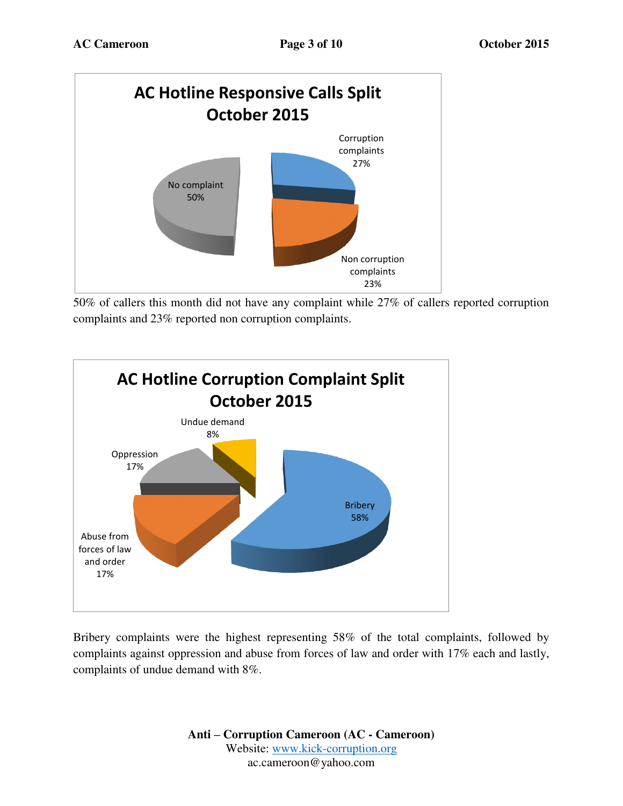

50% of callers this month did not have any complaint while 27% of callers reported corruption complaints and 23% reported non corruption complaints.



Bribery complaints were the highest representing 58% of the total complaints, followed by complaints against oppression and abuse from forces of law and order with 17% each and lastly, complaints of undue demand with 8%.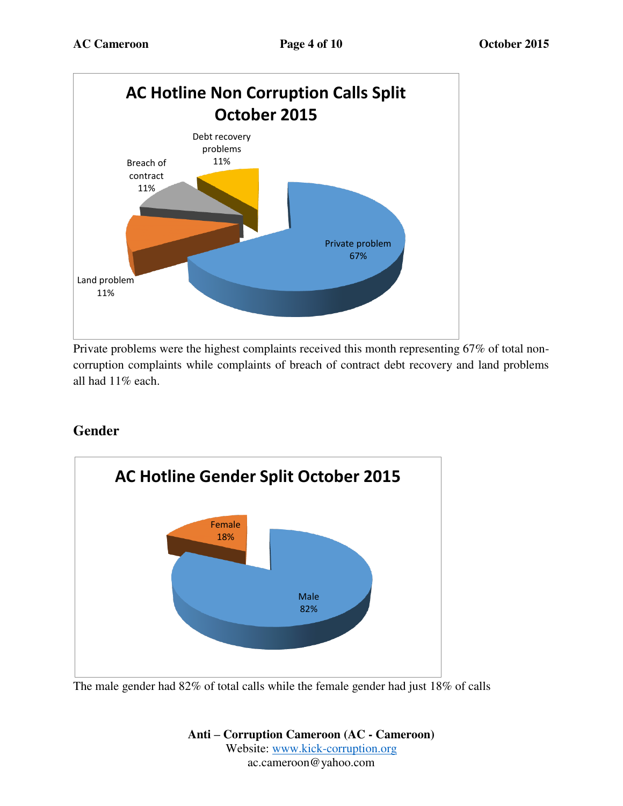

Private problems were the highest complaints received this month representing 67% of total noncorruption complaints while complaints of breach of contract debt recovery and land problems all had 11% each.

#### **Gender**



The male gender had 82% of total calls while the female gender had just 18% of calls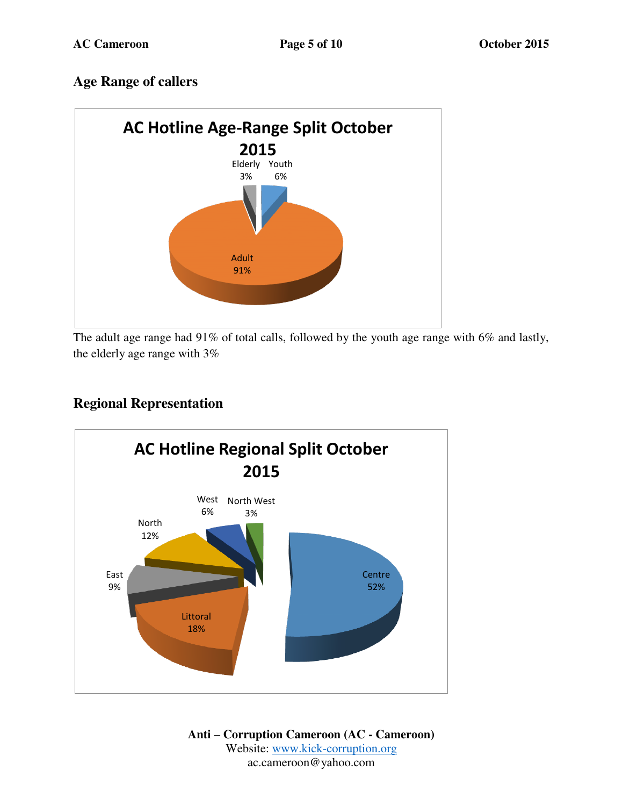## **Age Range of callers**



The adult age range had 91% of total calls, followed by the youth age range with 6% and lastly, the elderly age range with 3%

## **Regional Representation**

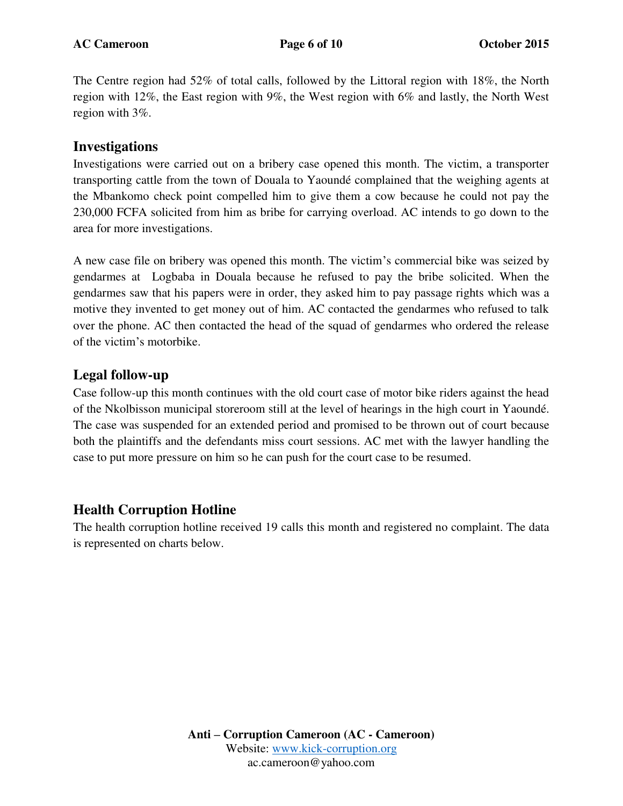The Centre region had 52% of total calls, followed by the Littoral region with 18%, the North region with 12%, the East region with 9%, the West region with 6% and lastly, the North West region with 3%.

#### **Investigations**

Investigations were carried out on a bribery case opened this month. The victim, a transporter transporting cattle from the town of Douala to Yaoundé complained that the weighing agents at the Mbankomo check point compelled him to give them a cow because he could not pay the 230,000 FCFA solicited from him as bribe for carrying overload. AC intends to go down to the area for more investigations.

A new case file on bribery was opened this month. The victim's commercial bike was seized by gendarmes at Logbaba in Douala because he refused to pay the bribe solicited. When the gendarmes saw that his papers were in order, they asked him to pay passage rights which was a motive they invented to get money out of him. AC contacted the gendarmes who refused to talk over the phone. AC then contacted the head of the squad of gendarmes who ordered the release of the victim's motorbike.

#### **Legal follow-up**

Case follow-up this month continues with the old court case of motor bike riders against the head of the Nkolbisson municipal storeroom still at the level of hearings in the high court in Yaoundé. The case was suspended for an extended period and promised to be thrown out of court because both the plaintiffs and the defendants miss court sessions. AC met with the lawyer handling the case to put more pressure on him so he can push for the court case to be resumed.

## **Health Corruption Hotline**

The health corruption hotline received 19 calls this month and registered no complaint. The data is represented on charts below.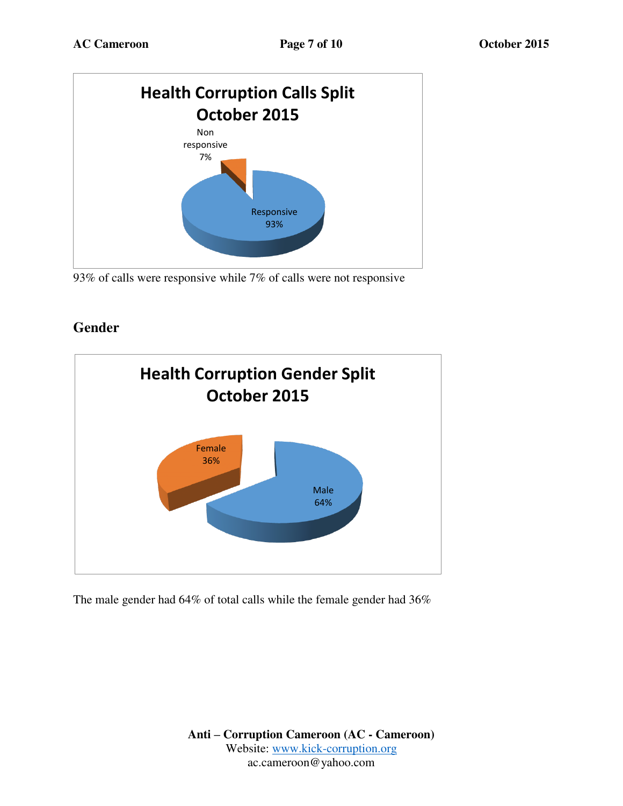

<sup>93%</sup> of calls were responsive while 7% of calls were not responsive

## **Gender**



The male gender had 64% of total calls while the female gender had 36%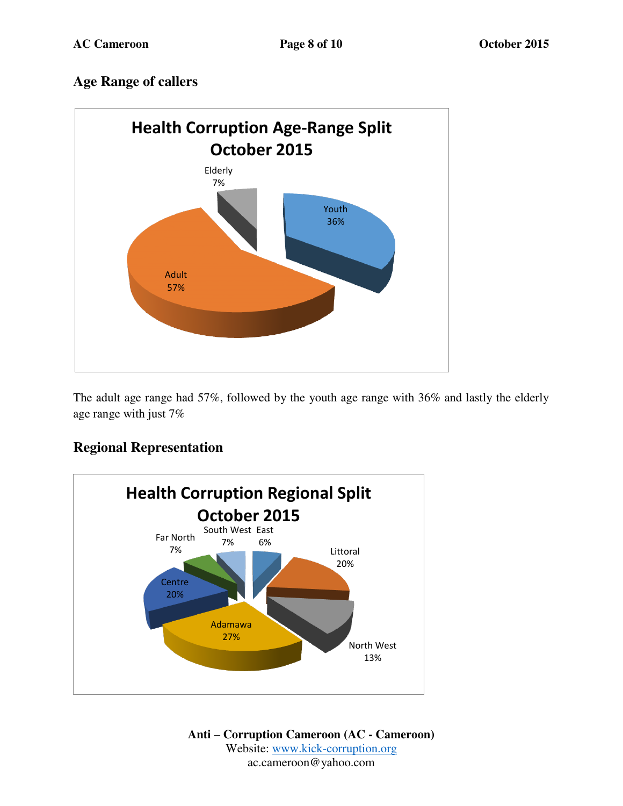## **Age Range of callers**



The adult age range had 57%, followed by the youth age range with 36% and lastly the elderly age range with just 7%

#### **Regional Representation**

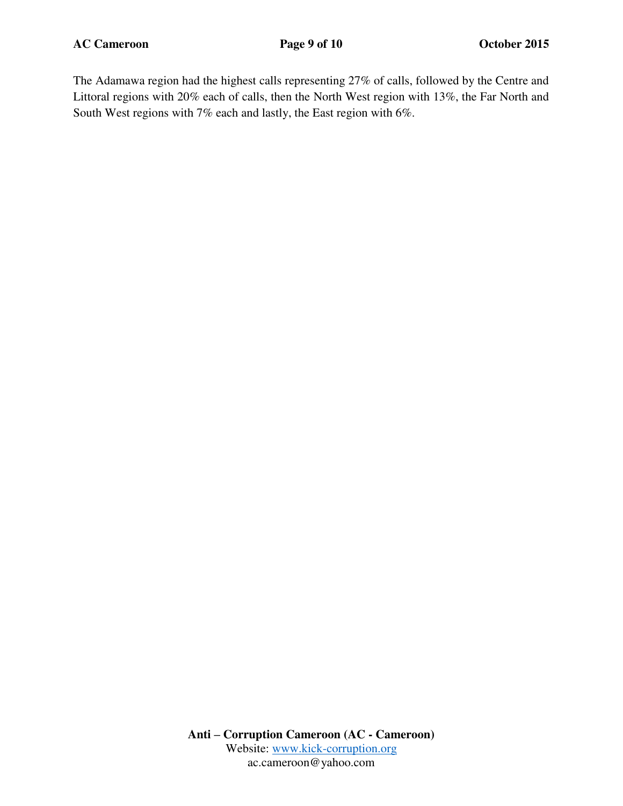The Adamawa region had the highest calls representing 27% of calls, followed by the Centre and Littoral regions with 20% each of calls, then the North West region with 13%, the Far North and South West regions with 7% each and lastly, the East region with 6%.